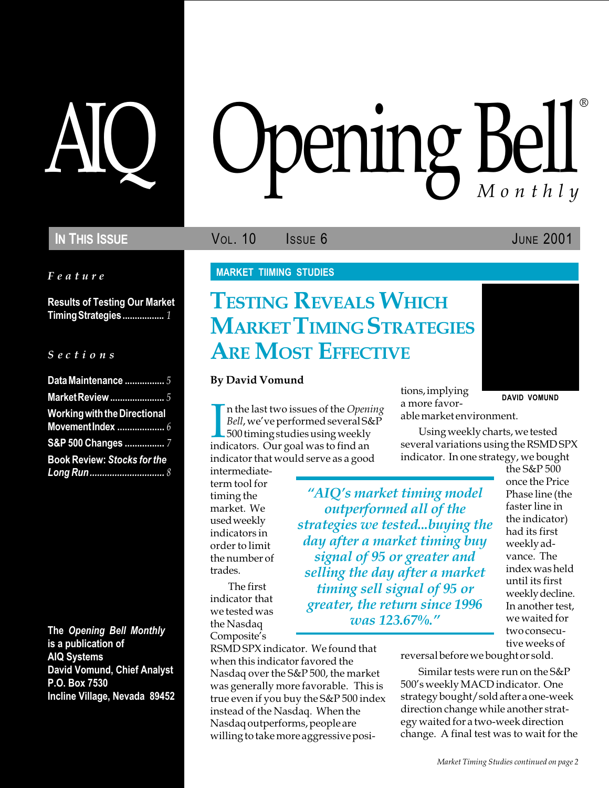### IN THIS ISSUE **VOL. 10** ISSUE 6 JUNE 2001

Feature

Results of Testing Our Market Timing Strategies................. 1

#### S e c t i o n s

| Data Maintenance 5                  |
|-------------------------------------|
| <b>Market Review </b> 5             |
| <b>Working with the Directional</b> |
|                                     |
| S&P 500 Changes 7                   |
| <b>Book Review: Stocks for the</b>  |
|                                     |

The Opening Bell Monthly is a publication of AIQ Systems David Vomund, Chief Analyst P.O. Box 7530 Incline Village, Nevada 89452

# AIQ Opening Bell ®

#### MARKET TIIMING STUDIES

## TESTING REVEALS WHICH **MARKET TIMING STRATEGIES ARE MOST EFFECTIVE**

#### By David Vomund

I<br>ind n the last two issues of the Opening Bell, we've performed several S&P 500 timing studies using weekly indicators. Our goal was to find an indicator that would serve as a good

intermediateterm tool for timing the market. We used weekly indicators in order to limit the number of trades.

The first indicator that we tested was the Nasdaq Composite's

RSMD SPX indicator. We found that when this indicator favored the Nasdaq over the S&P 500, the market was generally more favorable. This is true even if you buy the S&P 500 index instead of the Nasdaq. When the Nasdaq outperforms, people are willing to take more aggressive positions, implying a more favorable market environment.

DAVID VOMUND

Using weekly charts, we tested several variations using the RSMD SPX indicator. In one strategy, we bought

"AIQ's market timing model outperformed all of the strategies we tested...buying the day after a market timing buy signal of 95 or greater and selling the day after a market timing sell signal of 95 or greater, the return since 1996 was 123.67%.

the S&P 500 once the Price Phase line (the faster line in the indicator) had its first weekly advance. The index was held until its first weekly decline. In another test, we waited for two consecutive weeks of

reversal before we bought or sold.

Similar tests were run on the S&P 500's weekly MACD indicator. One strategy bought/sold after a one-week direction change while another strategy waited for a two-week direction change. A final test was to wait for the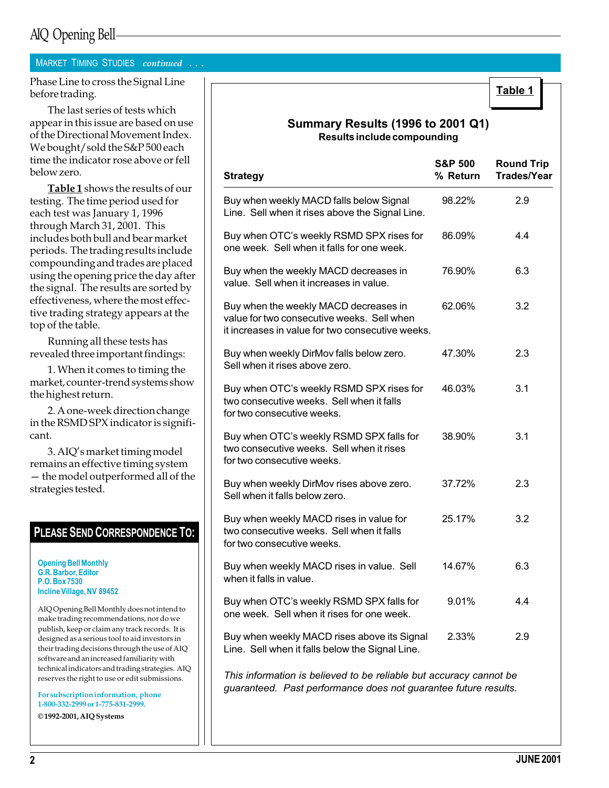## AIQ Opening Bell

#### MARKET TIMING STUDIES continued . . .

Phase Line to cross the Signal Line before trading.

The last series of tests which appear in this issue are based on use of the Directional Movement Index. We bought/sold the S&P 500 each time the indicator rose above or fell below zero.

Table 1 shows the results of our testing. The time period used for each test was January 1, 1996 through March 31, 2001. This includes both bull and bear market periods. The trading results include compounding and trades are placed using the opening price the day after the signal. The results are sorted by effectiveness, where the most effective trading strategy appears at the top of the table.

Running all these tests has revealed three important findings:

1. When it comes to timing the market, counter-trend systems show the highest return.

2. A one-week direction change in the RSMD SPX indicator is significant.

3. AIQ's market timing model remains an effective timing system - the model outperformed all of the strategies tested.

#### PLEASE SEND CORRESPONDENCE TO:

Opening Bell Monthly G.R. Barbor, Editor P.O. Box 7530 Incline Village, NV 89452

AIQ Opening Bell Monthly does not intend to make trading recommendations, nor do we publish, keep or claim any track records. It is designed as a serious tool to aid investors in their trading decisions through the use of AIQ software and an increased familiarity with technical indicators and trading strategies. AIQ reserves the right to use or edit submissions.

For subscription information, phone 1-800-332-2999 or 1-775-831-2999.

© 1992-2001, AIQ Systems

#### Summary Results (1996 to 2001 Q1) Results include compounding

| <b>Strategy</b>                                                                                                                         | <b>S&amp;P 500</b><br>% Return | <b>Round Trip</b><br><b>Trades/Year</b> |
|-----------------------------------------------------------------------------------------------------------------------------------------|--------------------------------|-----------------------------------------|
| Buy when weekly MACD falls below Signal<br>Line. Sell when it rises above the Signal Line.                                              | 98.22%                         | 2.9                                     |
| Buy when OTC's weekly RSMD SPX rises for<br>one week. Sell when it falls for one week.                                                  | 86.09%                         | 4.4                                     |
| Buy when the weekly MACD decreases in<br>value. Sell when it increases in value.                                                        | 76.90%                         | 6.3                                     |
| Buy when the weekly MACD decreases in<br>value for two consecutive weeks. Sell when<br>it increases in value for two consecutive weeks. | 62.06%                         | 3.2                                     |
| Buy when weekly DirMov falls below zero.<br>Sell when it rises above zero.                                                              | 47.30%                         | 2.3                                     |
| Buy when OTC's weekly RSMD SPX rises for<br>two consecutive weeks. Sell when it falls<br>for two consecutive weeks.                     | 46.03%                         | 3.1                                     |
| Buy when OTC's weekly RSMD SPX falls for<br>two consecutive weeks. Sell when it rises<br>for two consecutive weeks.                     | 38.90%                         | 3.1                                     |
| Buy when weekly DirMov rises above zero.<br>Sell when it falls below zero.                                                              | 37.72%                         | 2.3                                     |
| Buy when weekly MACD rises in value for<br>two consecutive weeks. Sell when it falls<br>for two consecutive weeks.                      | 25.17%                         | 3.2                                     |
| Buy when weekly MACD rises in value. Sell<br>when it falls in value.                                                                    | 14.67%                         | 6.3                                     |
| Buy when OTC's weekly RSMD SPX falls for<br>one week. Sell when it rises for one week.                                                  | 9.01%                          | 4.4                                     |
| Buy when weekly MACD rises above its Signal<br>Line. Sell when it falls below the Signal Line.                                          | 2.33%                          | 2.9                                     |
| This information is ballaread to be malled by but                                                                                       |                                |                                         |

This information is believed to be reliable but accuracy cannot be guaranteed. Past performance does not guarantee future results.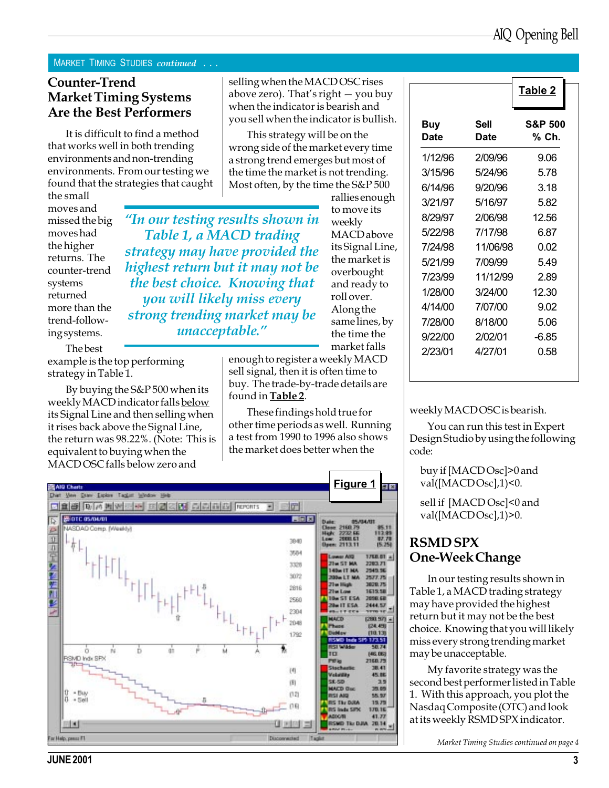#### MARKET TIMING STUDIES continued ...

#### Counter-Trend Market Timing Systems Are the Best Performers

It is difficult to find a method that works well in both trending environments and non-trending environments. From our testing we found that the strategies that caught

the small moves and missed the big moves had the higher returns. The counter-trend systems returned more than the trend-following systems.

The best

example is the top performing strategy in Table 1.

By buying the S&P 500 when its weekly MACD indicator falls below its Signal Line and then selling when it rises back above the Signal Line, the return was 98.22%. (Note: This is equivalent to buying when the MACD OSC falls below zero and

selling when the MACD OSC rises above zero). That's right  $-$  you buy when the indicator is bearish and you sell when the indicator is bullish.

This strategy will be on the wrong side of the market every time a strong trend emerges but most of the time the market is not trending. Most often, by the time the S&P 500

rallies enough to move its weekly **MACD** above its Signal Line, the market is overbought and ready to roll over. Along the same lines, by the time the market falls In our testing results shown in Table 1, a MACD trading strategy may have provided the highest return but it may not be the best choice. Knowing that you will likely miss every strong trending market may be unacceptable."

> enough to register a weekly MACD sell signal, then it is often time to buy. The trade-by-trade details are found in Table 2.

These findings hold true for other time periods as well. Running a test from 1990 to 1996 also shows the market does better when the



|             |              | Table 2                     |
|-------------|--------------|-----------------------------|
| Buy<br>Date | Sell<br>Date | <b>S&amp;P 500</b><br>% Ch. |
| 1/12/96     | 2/09/96      | 9.06                        |
| 3/15/96     | 5/24/96      | 5.78                        |
| 6/14/96     | 9/20/96      | 3.18                        |
| 3/21/97     | 5/16/97      | 5.82                        |
| 8/29/97     | 2/06/98      | 12.56                       |
| 5/22/98     | 7/17/98      | 6.87                        |
| 7/24/98     | 11/06/98     | 0.02                        |
| 5/21/99     | 7/09/99      | 549                         |
| 7/23/99     | 11/12/99     | 2 89                        |
| 1/28/00     | 3/24/00      | 12.30                       |
| 4/14/00     | 7/07/00      | 9.02                        |
| 7/28/00     | 8/18/00      | 5.06                        |
| 9/22/00     | 2/02/01      | -6.85                       |
| 2/23/01     | 4/27/01      | 0.58                        |

weekly MACD OSC is bearish.

You can run this test in Expert Design Studio by using the following code:

buy if [MACD Osc]>0 and val([MACDOsc],1)<0.

sell if [MACD Osc]<0 and val([MACDOsc],1)>0.

### RSMD SPX One-Week Change

In our testing results shown in Table 1, a MACD trading strategy may have provided the highest return but it may not be the best choice. Knowing that you will likely miss every strong trending market may be unacceptable.

My favorite strategy was the second best performer listed in Table 1. With this approach, you plot the Nasdaq Composite (OTC) and look at its weekly RSMD SPX indicator.

Market Timing Studies continued on page 4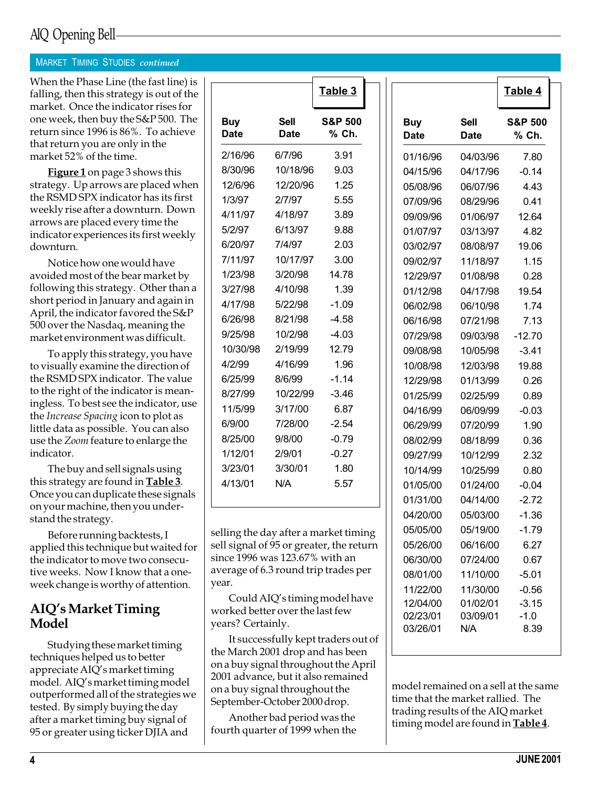## AIQ Opening Bell

#### **MARKET TIMING STUDIES continued**

Table 4 When the Phase Line (the fast line) is falling, then this strategy is out of the market. Once the indicator rises for one week, then buy the S&P 500. The return since 1996 is 86%. To achieve that return you are only in the market 52% of the time.

**Figure 1** on page 3 shows this strategy. Up arrows are placed when the RSMD SPX indicator has its first weekly rise after a downturn. Down arrows are placed every time the indicator experiences its first weekly downturn.

Notice how one would have avoided most of the bear market by following this strategy. Other than a short period in January and again in April, the indicator favored the S&P 500 over the Nasdaq, meaning the market environment was difficult.

To apply this strategy, you have to visually examine the direction of the RSMD SPX indicator. The value to the right of the indicator is meaningless. To best see the indicator, use the Increase Spacing icon to plot as little data as possible. You can also use the Zoom feature to enlarge the indicator.

The buy and sell signals using this strategy are found in **Table 3**. Once you can duplicate these signals on your machine, then you understand the strategy.

Before running backtests, I applied this technique but waited for the indicator to move two consecutive weeks. Now I know that a oneweek change is worthy of attention.

#### AIQ's Market Timing Model

Studying these market timing techniques helped us to better appreciate AIQ's market timing model. AIQ's market timing model outperformed all of the strategies we tested. By simply buying the day after a market timing buy signal of 95 or greater using ticker DJIA and

|                           |                     | Table 3                     |
|---------------------------|---------------------|-----------------------------|
| <b>Buy</b><br><b>Date</b> | Sell<br><b>Date</b> | <b>S&amp;P 500</b><br>% Ch. |
| 2/16/96                   | 6/7/96              | 3.91                        |
| 8/30/96                   | 10/18/96            | 9.03                        |
| 12/6/96                   | 12/20/96            | 1.25                        |
| 1/3/97                    | 2/7/97              | 5.55                        |
| 4/11/97                   | 4/18/97             | 3.89                        |
| 5/2/97                    | 6/13/97             | 9.88                        |
| 6/20/97                   | 7/4/97              | 2.03                        |
| 7/11/97                   | 10/17/97            | 3.00                        |
| 1/23/98                   | 3/20/98             | 14.78                       |
| 3/27/98                   | 4/10/98             | 1.39                        |
| 4/17/98                   | 5/22/98             | $-1.09$                     |
| 6/26/98                   | 8/21/98             | $-4.58$                     |
| 9/25/98                   | 10/2/98             | $-4.03$                     |
| 10/30/98                  | 2/19/99             | 12.79                       |
| 4/2/99                    | 4/16/99             | 1.96                        |
| 6/25/99                   | 8/6/99              | $-1.14$                     |
| 8/27/99                   | 10/22/99            | $-3.46$                     |
| 11/5/99                   | 3/17/00             | 6.87                        |
| 6/9/00                    | 7/28/00             | $-2.54$                     |
| 8/25/00                   | 9/8/00              | $-0.79$                     |
| 1/12/01                   | 2/9/01              | $-0.27$                     |
| 3/23/01                   | 3/30/01             | 1.80                        |
| 4/13/01                   | N/A                 | 5.57                        |
|                           |                     |                             |

selling the day after a market timing sell signal of 95 or greater, the return since 1996 was 123.67% with an average of 6.3 round trip trades per year.

Could AIQ's timing model have worked better over the last few years? Certainly.

It successfully kept traders out of the March 2001 drop and has been on a buy signal throughout the April 2001 advance, but it also remained on a buy signal throughout the September-October 2000 drop.

Another bad period was the fourth quarter of 1999 when the

|             |                     | Table 4                     |
|-------------|---------------------|-----------------------------|
| Buy<br>Date | <b>Sell</b><br>Date | <b>S&amp;P 500</b><br>% Ch. |
| 01/16/96    | 04/03/96            | 7.80                        |
| 04/15/96    | 04/17/96            | $-0.14$                     |
| 05/08/96    | 06/07/96            | 4.43                        |
| 07/09/96    | 08/29/96            | 0.41                        |
| 09/09/96    | 01/06/97            | 12.64                       |
| 01/07/97    | 03/13/97            | 4.82                        |
| 03/02/97    | 08/08/97            | 19.06                       |
| 09/02/97    | 11/18/97            | 1.15                        |
| 12/29/97    | 01/08/98            | 0.28                        |
| 01/12/98    | 04/17/98            | 19.54                       |
| 06/02/98    | 06/10/98            | 1.74                        |
| 06/16/98    | 07/21/98            | 7.13                        |
| 07/29/98    | 09/03/98            | $-12.70$                    |
| 09/08/98    | 10/05/98            | $-3.41$                     |
| 10/08/98    | 12/03/98            | 19.88                       |
| 12/29/98    | 01/13/99            | 0.26                        |
| 01/25/99    | 02/25/99            | 0.89                        |
| 04/16/99    | 06/09/99            | $-0.03$                     |
| 06/29/99    | 07/20/99            | 1.90                        |
| 08/02/99    | 08/18/99            | 0.36                        |
| 09/27/99    | 10/12/99            | 2.32                        |
| 10/14/99    | 10/25/99            | 0.80                        |
| 01/05/00    | 01/24/00            | $-0.04$                     |
| 01/31/00    | 04/14/00            | $-2.72$                     |
| 04/20/00    | 05/03/00            | -1.36                       |
| 05/05/00    | 05/19/00            | 1.79                        |
| 05/26/00    | 06/16/00            | 6.27                        |
| 06/30/00    | 07/24/00            | 0.67                        |
| 08/01/00    | 11/10/00            | $-5.01$                     |
| 11/22/00    | 11/30/00            | $-0.56$                     |
| 12/04/00    | 01/02/01            | $-3.15$                     |
| 02/23/01    | 03/09/01            | $-1.0$                      |
| 03/26/01    | N/A                 | 8.39                        |

model remained on a sell at the same time that the market rallied. The trading results of the AIQ market timing model are found in **Table 4**.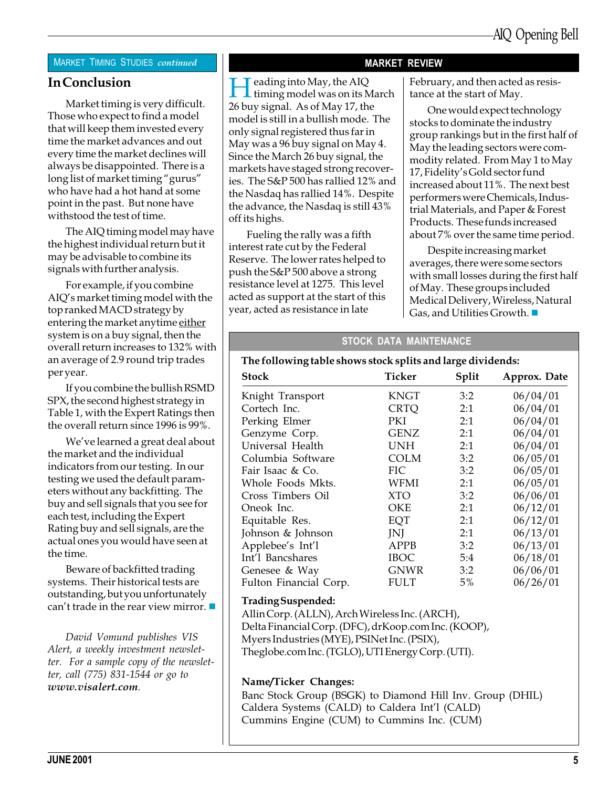#### **MARKET TIMING STUDIES continued**

#### In Conclusion

Market timing is very difficult. Those who expect to find a model that will keep them invested every time the market advances and out every time the market declines will always be disappointed. There is a long list of market timing "gurus" who have had a hot hand at some point in the past. But none have withstood the test of time.

The AIQ timing model may have the highest individual return but it may be advisable to combine its signals with further analysis.

For example, if you combine AIQ's market timing model with the top ranked MACD strategy by entering the market anytime either system is on a buy signal, then the overall return increases to 132% with an average of 2.9 round trip trades per year.

If you combine the bullish RSMD SPX, the second highest strategy in Table 1, with the Expert Ratings then the overall return since 1996 is 99%.

We've learned a great deal about the market and the individual indicators from our testing. In our testing we used the default parameters without any backfitting. The buy and sell signals that you see for each test, including the Expert Rating buy and sell signals, are the actual ones you would have seen at the time.

Beware of backfitted trading systems. Their historical tests are outstanding, but you unfortunately can't trade in the rear view mirror.  $\blacksquare$ 

David Vomund publishes VIS Alert, a weekly investment newsletter. For a sample copy of the newsletter, call (775) 831-1544 or go to www.visalert.com.

#### MARKET REVIEW

 $\blacksquare$  eading into May, the AIQ

26 buy signal. As of May 17, the model is still in a bullish mode. The only signal registered thus far in May was a 96 buy signal on May 4. Since the March 26 buy signal, the markets have staged strong recoveries. The S&P 500 has rallied 12% and the Nasdaq has rallied 14%. Despite the advance, the Nasdaq is still 43%

Fueling the rally was a fifth interest rate cut by the Federal Reserve. The lower rates helped to push the S&P 500 above a strong resistance level at 1275. This level acted as support at the start of this year, acted as resistance in late

off its highs.

timing model was on its March

February, and then acted as resistance at the start of May.

One would expect technology stocks to dominate the industry group rankings but in the first half of May the leading sectors were commodity related. From May 1 to May 17, Fidelity's Gold sector fund increased about 11%. The next best performers were Chemicals, Industrial Materials, and Paper & Forest Products. These funds increased about 7% over the same time period.

Despite increasing market averages, there were some sectors with small losses during the first half of May. These groups included Medical Delivery, Wireless, Natural Gas, and Utilities Growth.  $\blacksquare$ 

#### STOCK DATA MAINTENANCE

#### The following table shows stock splits and large dividends:

| Ticker      | Split | Approx. Date |
|-------------|-------|--------------|
| KNGT        | 3:2   | 06/04/01     |
| <b>CRTQ</b> | 2:1   | 06/04/01     |
| PKI         | 2:1   | 06/04/01     |
| <b>GENZ</b> | 2:1   | 06/04/01     |
| <b>UNH</b>  | 2:1   | 06/04/01     |
| COLM        | 3:2   | 06/05/01     |
| FIC         | 3:2   | 06/05/01     |
| WFMI        | 2:1   | 06/05/01     |
| <b>XTO</b>  | 3:2   | 06/06/01     |
| OKE         | 2:1   | 06/12/01     |
| EQT         | 2:1   | 06/12/01     |
| JNJ         | 2:1   | 06/13/01     |
| APPB        | 3:2   | 06/13/01     |
| <b>IBOC</b> | 5:4   | 06/18/01     |
| <b>GNWR</b> | 3:2   | 06/06/01     |
| <b>FULT</b> | 5%    | 06/26/01     |
|             |       |              |

#### Trading Suspended:

Allin Corp. (ALLN), Arch Wireless Inc. (ARCH), Delta Financial Corp. (DFC), drKoop.com Inc. (KOOP), Myers Industries (MYE), PSINet Inc. (PSIX), Theglobe.com Inc. (TGLO), UTI Energy Corp. (UTI).

#### Name/Ticker Changes:

Banc Stock Group (BSGK) to Diamond Hill Inv. Group (DHIL) Caldera Systems (CALD) to Caldera Int'l (CALD) Cummins Engine (CUM) to Cummins Inc. (CUM)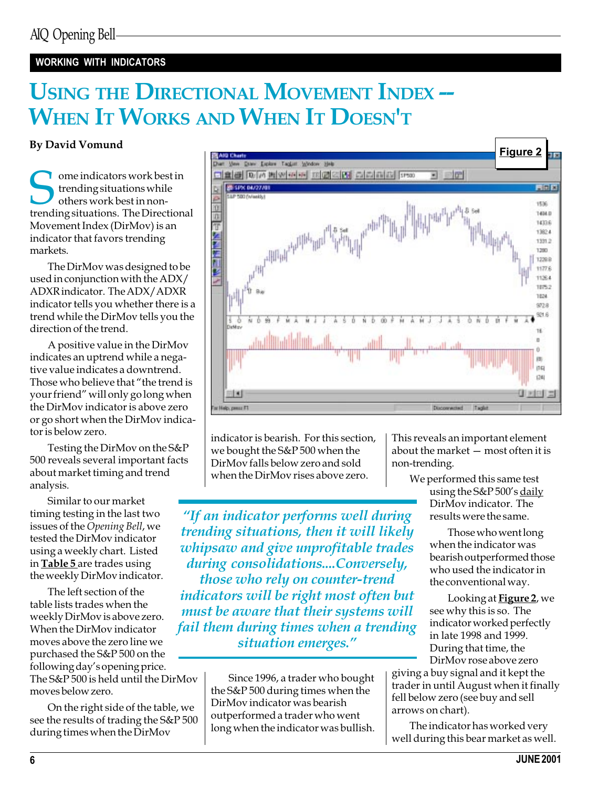#### WORKING WITH INDICATORS

## USING THE DIRECTIONAL MOVEMENT INDEX --WHEN IT WORKS AND WHEN IT DOESN'T

#### By David Vomund

Some indicators work best in<br>trending situations while<br>trending situations. The Directional trending situations while others work best in non-Movement Index (DirMov) is an indicator that favors trending markets.

The DirMov was designed to be used in conjunction with the ADX/ ADXR indicator. The ADX/ADXR indicator tells you whether there is a trend while the DirMov tells you the direction of the trend.

A positive value in the DirMov indicates an uptrend while a negative value indicates a downtrend. Those who believe that "the trend is your friend" will only go long when the DirMov indicator is above zero or go short when the DirMov indicator is below zero.

Testing the DirMov on the S&P 500 reveals several important facts about market timing and trend analysis.

Similar to our market timing testing in the last two issues of the Opening Bell, we tested the DirMov indicator using a weekly chart. Listed in **Table 5** are trades using the weekly DirMov indicator.

The left section of the table lists trades when the weekly DirMov is above zero. When the DirMov indicator moves above the zero line we purchased the S&P 500 on the following day's opening price. The S&P 500 is held until the DirMov moves below zero.

On the right side of the table, we see the results of trading the S&P 500 during times when the DirMov



indicator is bearish. For this section, we bought the S&P 500 when the DirMov falls below zero and sold when the DirMov rises above zero.

"If an indicator performs well during trending situations, then it will likely whipsaw and give unprofitable trades during consolidations....Conversely, those who rely on counter-trend indicators will be right most often but must be aware that their systems will fail them during times when a trending situation emerges."

> Since 1996, a trader who bought the S&P 500 during times when the DirMov indicator was bearish outperformed a trader who went long when the indicator was bullish.

This reveals an important element about the market  $-$  most often it is non-trending.

> We performed this same test using the  $S\&P 500's$  daily DirMov indicator. The results were the same.

> > Those who went long when the indicator was bearish outperformed those who used the indicator in the conventional way.

Looking at Figure 2, we see why this is so. The indicator worked perfectly in late 1998 and 1999. During that time, the DirMov rose above zero

giving a buy signal and it kept the trader in until August when it finally fell below zero (see buy and sell arrows on chart).

The indicator has worked very well during this bear market as well.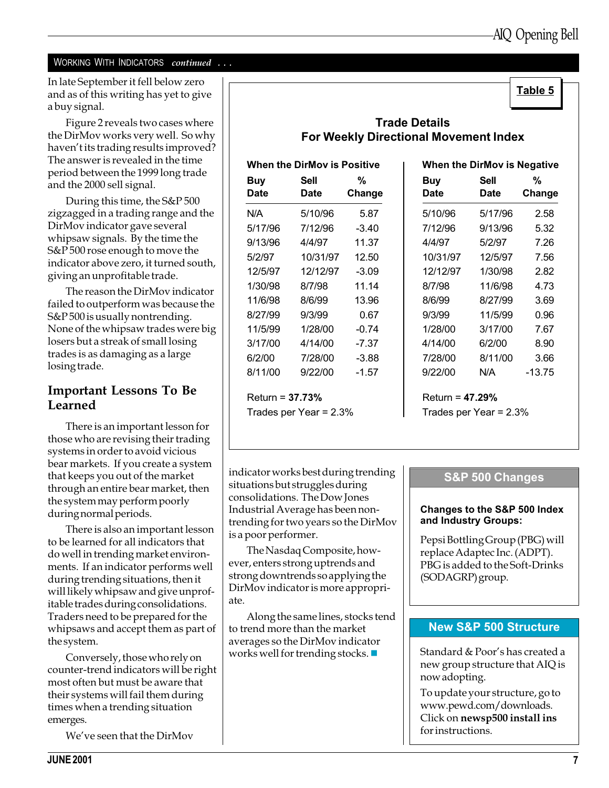#### WORKING WITH INDICATORS continued . . .

In late September it fell below zero<br>and as of this writing has yot to give and as of this writing has yet to give a buy signal.

Figure 2 reveals two cases where the DirMov works very well. So why haven't its trading results improved? The answer is revealed in the time period between the 1999 long trade and the 2000 sell signal.

During this time, the S&P 500 zigzagged in a trading range and the DirMov indicator gave several whipsaw signals. By the time the S&P 500 rose enough to move the indicator above zero, it turned south, giving an unprofitable trade.

The reason the DirMov indicator failed to outperform was because the S&P 500 is usually nontrending. None of the whipsaw trades were big losers but a streak of small losing trades is as damaging as a large losing trade.

#### Important Lessons To Be Learned

There is an important lesson for those who are revising their trading systems in order to avoid vicious bear markets. If you create a system that keeps you out of the market through an entire bear market, then the system may perform poorly during normal periods.

There is also an important lesson to be learned for all indicators that do well in trending market environments. If an indicator performs well during trending situations, then it will likely whipsaw and give unprofitable trades during consolidations. Traders need to be prepared for the whipsaws and accept them as part of the system.

Conversely, those who rely on counter-trend indicators will be right most often but must be aware that their systems will fail them during times when a trending situation emerges.

We've seen that the DirMov

### Trade Details For Weekly Directional Movement Index

| When the DirMov is Positive |                            |             | When the DirMov is Negativ |                            |            |
|-----------------------------|----------------------------|-------------|----------------------------|----------------------------|------------|
| <b>Buy</b><br><b>Date</b>   | <b>Sell</b><br><b>Date</b> | %<br>Change | <b>Buy</b><br><b>Date</b>  | <b>Sell</b><br><b>Date</b> | %<br>Chang |
| N/A                         | 5/10/96                    | 5.87        | 5/10/96                    | 5/17/96                    | 2.58       |
| 5/17/96                     | 7/12/96                    | $-3.40$     | 7/12/96                    | 9/13/96                    | 5.32       |
| 9/13/96                     | 4/4/97                     | 11.37       | 4/4/97                     | 5/2/97                     | 7.26       |
| 5/2/97                      | 10/31/97                   | 12.50       | 10/31/97                   | 12/5/97                    | 7.56       |
| 12/5/97                     | 12/12/97                   | $-3.09$     | 12/12/97                   | 1/30/98                    | 2.82       |
| 1/30/98                     | 8/7/98                     | 11.14       | 8/7/98                     | 11/6/98                    | 4.73       |
| 11/6/98                     | 8/6/99                     | 13.96       | 8/6/99                     | 8/27/99                    | 3.69       |
| 8/27/99                     | 9/3/99                     | 0.67        | 9/3/99                     | 11/5/99                    | 0.96       |
| 11/5/99                     | 1/28/00                    | $-0.74$     | 1/28/00                    | 3/17/00                    | 7.67       |
| 3/17/00                     | 4/14/00                    | -7.37       | 4/14/00                    | 6/2/00                     | 8.90       |
| 6/2/00                      | 7/28/00                    | $-3.88$     | 7/28/00                    | 8/11/00                    | 3.66       |
| 8/11/00                     | 9/22/00                    | $-1.57$     | 9/22/00                    | N/A                        | $-13.75$   |
| Return = $37.73%$           |                            |             | Return = $47.29%$          |                            |            |
|                             | Trades per Year = $2.3\%$  |             | Trades per Year = 2.3%     |                            |            |

|             | When the DirMov is Positive |             |                           | <b>When the DirMov is Negative</b> |             |
|-------------|-----------------------------|-------------|---------------------------|------------------------------------|-------------|
| Buy<br>Date | <b>Sell</b><br>Date         | %<br>Change | <b>Buy</b><br><b>Date</b> | Sell<br>Date                       | %<br>Change |
| N/A         | 5/10/96                     | 5.87        | 5/10/96                   | 5/17/96                            | 2.58        |
| 5/17/96     | 7/12/96                     | $-3.40$     | 7/12/96                   | 9/13/96                            | 5.32        |
| 9/13/96     | 4/4/97                      | 11.37       | 4/4/97                    | 5/2/97                             | 7.26        |
| 5/2/97      | 10/31/97                    | 12.50       | 10/31/97                  | 12/5/97                            | 7.56        |
| 12/5/97     | 12/12/97                    | $-3.09$     | 12/12/97                  | 1/30/98                            | 2.82        |
| 1/30/98     | 8/7/98                      | 11.14       | 8/7/98                    | 11/6/98                            | 4.73        |
| 11/6/98     | 8/6/99                      | 13.96       | 8/6/99                    | 8/27/99                            | 3.69        |
| 8/27/99     | 9/3/99                      | 0.67        | 9/3/99                    | 11/5/99                            | 0.96        |
| 11/5/99     | 1/28/00                     | $-0.74$     | 1/28/00                   | 3/17/00                            | 7.67        |
| 3/17/00     | 4/14/00                     | $-7.37$     | 4/14/00                   | 6/2/00                             | 8.90        |
| 6/2/00      | 7/28/00                     | $-3.88$     | 7/28/00                   | 8/11/00                            | 3.66        |
| 8/11/00     | 9/22/00                     | $-1.57$     | 9/22/00                   | N/A                                | $-13.75$    |
|             |                             |             |                           |                                    |             |

indicator works best during trending situations but struggles during consolidations. The Dow Jones Industrial Average has been nontrending for two years so the DirMov is a poor performer.

The Nasdaq Composite, however, enters strong uptrends and strong downtrends so applying the DirMov indicator is more appropriate.

Along the same lines, stocks tend to trend more than the market averages so the DirMov indicator works well for trending stocks.  $\blacksquare$ 

#### S&P 500 Changes

#### Changes to the S&P 500 Index and Industry Groups:

Pepsi Bottling Group (PBG) will replace Adaptec Inc. (ADPT). PBG is added to the Soft-Drinks (SODAGRP) group.

#### New S&P 500 Structure

Standard & Poor's has created a new group structure that AIQ is now adopting.

To update your structure, go to www.pewd.com/downloads. Click on newsp500 install ins for instructions.